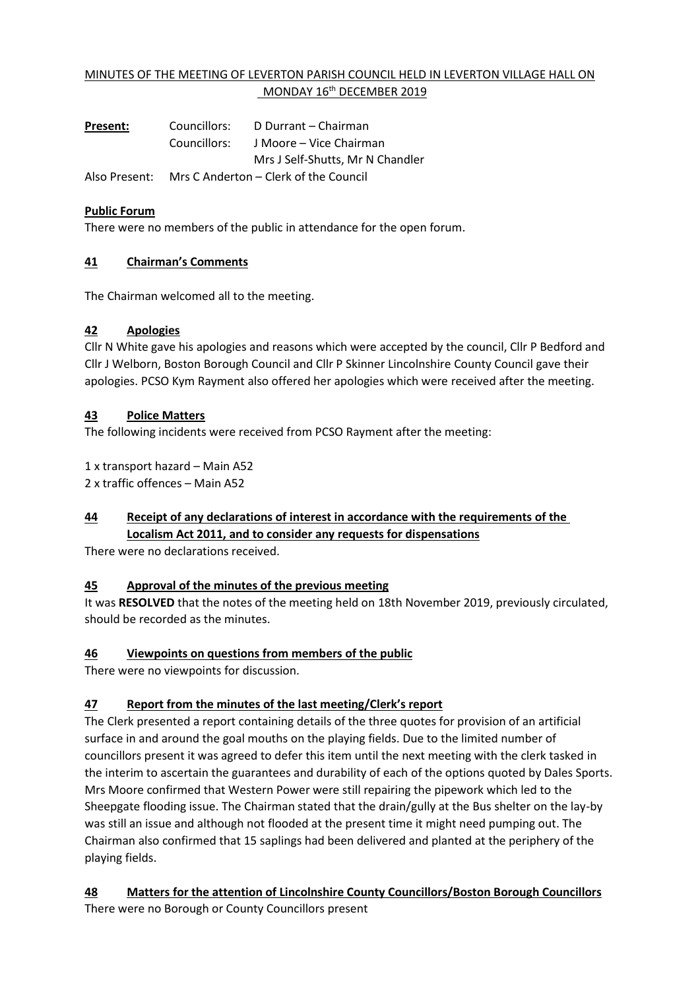## MINUTES OF THE MEETING OF LEVERTON PARISH COUNCIL HELD IN LEVERTON VILLAGE HALL ON MONDAY 16<sup>th</sup> DECEMBER 2019

**Present:** Councillors: D Durrant – Chairman Councillors: J Moore – Vice Chairman Mrs J Self-Shutts, Mr N Chandler Also Present: Mrs C Anderton – Clerk of the Council

### **Public Forum**

There were no members of the public in attendance for the open forum.

### **41 Chairman's Comments**

The Chairman welcomed all to the meeting.

#### **42 Apologies**

Cllr N White gave his apologies and reasons which were accepted by the council, Cllr P Bedford and Cllr J Welborn, Boston Borough Council and Cllr P Skinner Lincolnshire County Council gave their apologies. PCSO Kym Rayment also offered her apologies which were received after the meeting.

#### **43 Police Matters**

The following incidents were received from PCSO Rayment after the meeting:

1 x transport hazard – Main A52

2 x traffic offences – Main A52

# **44 Receipt of any declarations of interest in accordance with the requirements of the Localism Act 2011, and to consider any requests for dispensations**

There were no declarations received.

### **45 Approval of the minutes of the previous meeting**

It was **RESOLVED** that the notes of the meeting held on 18th November 2019, previously circulated, should be recorded as the minutes.

### **46 Viewpoints on questions from members of the public**

There were no viewpoints for discussion.

### **47 Report from the minutes of the last meeting/Clerk's report**

The Clerk presented a report containing details of the three quotes for provision of an artificial surface in and around the goal mouths on the playing fields. Due to the limited number of councillors present it was agreed to defer this item until the next meeting with the clerk tasked in the interim to ascertain the guarantees and durability of each of the options quoted by Dales Sports. Mrs Moore confirmed that Western Power were still repairing the pipework which led to the Sheepgate flooding issue. The Chairman stated that the drain/gully at the Bus shelter on the lay-by was still an issue and although not flooded at the present time it might need pumping out. The Chairman also confirmed that 15 saplings had been delivered and planted at the periphery of the playing fields.

## **48 Matters for the attention of Lincolnshire County Councillors/Boston Borough Councillors**

There were no Borough or County Councillors present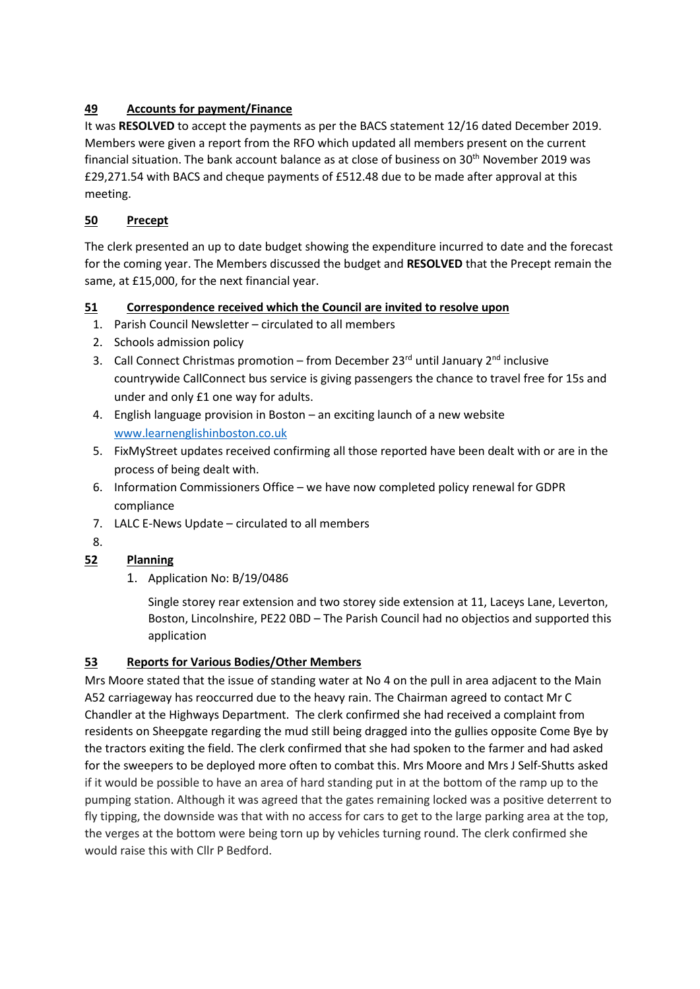# **49 Accounts for payment/Finance**

It was **RESOLVED** to accept the payments as per the BACS statement 12/16 dated December 2019. Members were given a report from the RFO which updated all members present on the current financial situation. The bank account balance as at close of business on 30th November 2019 was £29,271.54 with BACS and cheque payments of £512.48 due to be made after approval at this meeting.

### **50 Precept**

The clerk presented an up to date budget showing the expenditure incurred to date and the forecast for the coming year. The Members discussed the budget and **RESOLVED** that the Precept remain the same, at £15,000, for the next financial year.

## **51 Correspondence received which the Council are invited to resolve upon**

- 1. Parish Council Newsletter circulated to all members
- 2. Schools admission policy
- 3. Call Connect Christmas promotion from December 23<sup>rd</sup> until January 2<sup>nd</sup> inclusive countrywide CallConnect bus service is giving passengers the chance to travel free for 15s and under and only £1 one way for adults.
- 4. English language provision in Boston an exciting launch of a new website [www.learnenglishinboston.co.uk](http://www.learnenglishinboston.co.uk/)
- 5. FixMyStreet updates received confirming all those reported have been dealt with or are in the process of being dealt with.
- 6. Information Commissioners Office we have now completed policy renewal for GDPR compliance
- 7. LALC E-News Update circulated to all members
- 8.

# **52 Planning**

1. Application No: B/19/0486

Single storey rear extension and two storey side extension at 11, Laceys Lane, Leverton, Boston, Lincolnshire, PE22 0BD – The Parish Council had no objectios and supported this application

## **53 Reports for Various Bodies/Other Members**

Mrs Moore stated that the issue of standing water at No 4 on the pull in area adjacent to the Main A52 carriageway has reoccurred due to the heavy rain. The Chairman agreed to contact Mr C Chandler at the Highways Department. The clerk confirmed she had received a complaint from residents on Sheepgate regarding the mud still being dragged into the gullies opposite Come Bye by the tractors exiting the field. The clerk confirmed that she had spoken to the farmer and had asked for the sweepers to be deployed more often to combat this. Mrs Moore and Mrs J Self-Shutts asked if it would be possible to have an area of hard standing put in at the bottom of the ramp up to the pumping station. Although it was agreed that the gates remaining locked was a positive deterrent to fly tipping, the downside was that with no access for cars to get to the large parking area at the top, the verges at the bottom were being torn up by vehicles turning round. The clerk confirmed she would raise this with Cllr P Bedford.